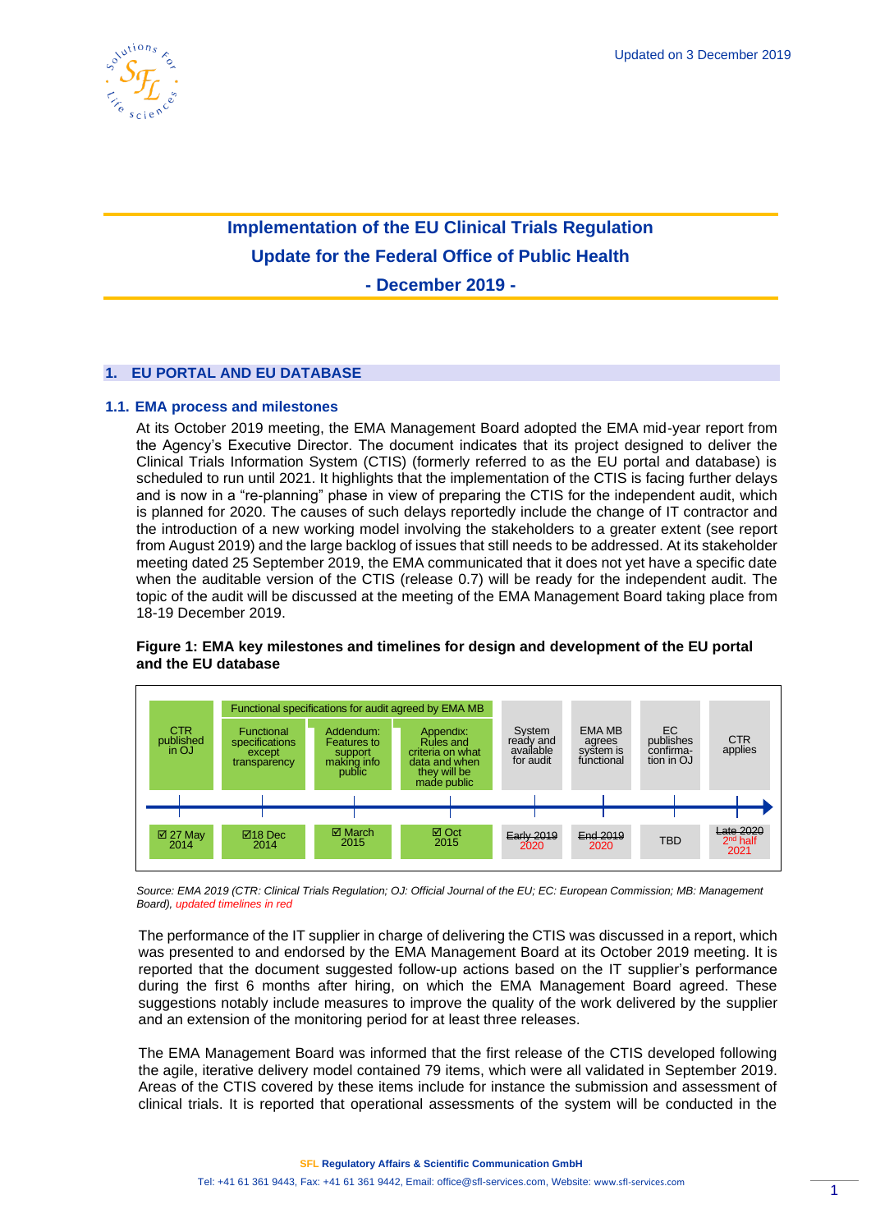

# **Implementation of the EU Clinical Trials Regulation Update for the Federal Office of Public Health**

**- December 2019 -**

# **1. EU PORTAL AND EU DATABASE**

# **1.1. EMA process and milestones**

At its October 2019 meeting, the EMA Management Board adopted the EMA mid-year report from the Agency's Executive Director. The document indicates that its project designed to deliver the Clinical Trials Information System (CTIS) (formerly referred to as the EU portal and database) is scheduled to run until 2021. It highlights that the implementation of the CTIS is facing further delays and is now in a "re-planning" phase in view of preparing the CTIS for the independent audit, which is planned for 2020. The causes of such delays reportedly include the change of IT contractor and the introduction of a new working model involving the stakeholders to a greater extent (see report from August 2019) and the large backlog of issues that still needs to be addressed. At its stakeholder meeting dated 25 September 2019, the EMA communicated that it does not yet have a specific date when the auditable version of the CTIS (release 0.7) will be ready for the independent audit. The topic of the audit will be discussed at the meeting of the EMA Management Board taking place from 18-19 December 2019.



# **Figure 1: EMA key milestones and timelines for design and development of the EU portal and the EU database**

*Source: EMA 2019 (CTR: Clinical Trials Regulation; OJ: Official Journal of the EU; EC: European Commission; MB: Management Board), updated timelines in red*

The performance of the IT supplier in charge of delivering the CTIS was discussed in a report, which was presented to and endorsed by the EMA Management Board at its October 2019 meeting. It is reported that the document suggested follow-up actions based on the IT supplier's performance during the first 6 months after hiring, on which the EMA Management Board agreed. These suggestions notably include measures to improve the quality of the work delivered by the supplier and an extension of the monitoring period for at least three releases.

The EMA Management Board was informed that the first release of the CTIS developed following the agile, iterative delivery model contained 79 items, which were all validated in September 2019. Areas of the CTIS covered by these items include for instance the submission and assessment of clinical trials. It is reported that operational assessments of the system will be conducted in the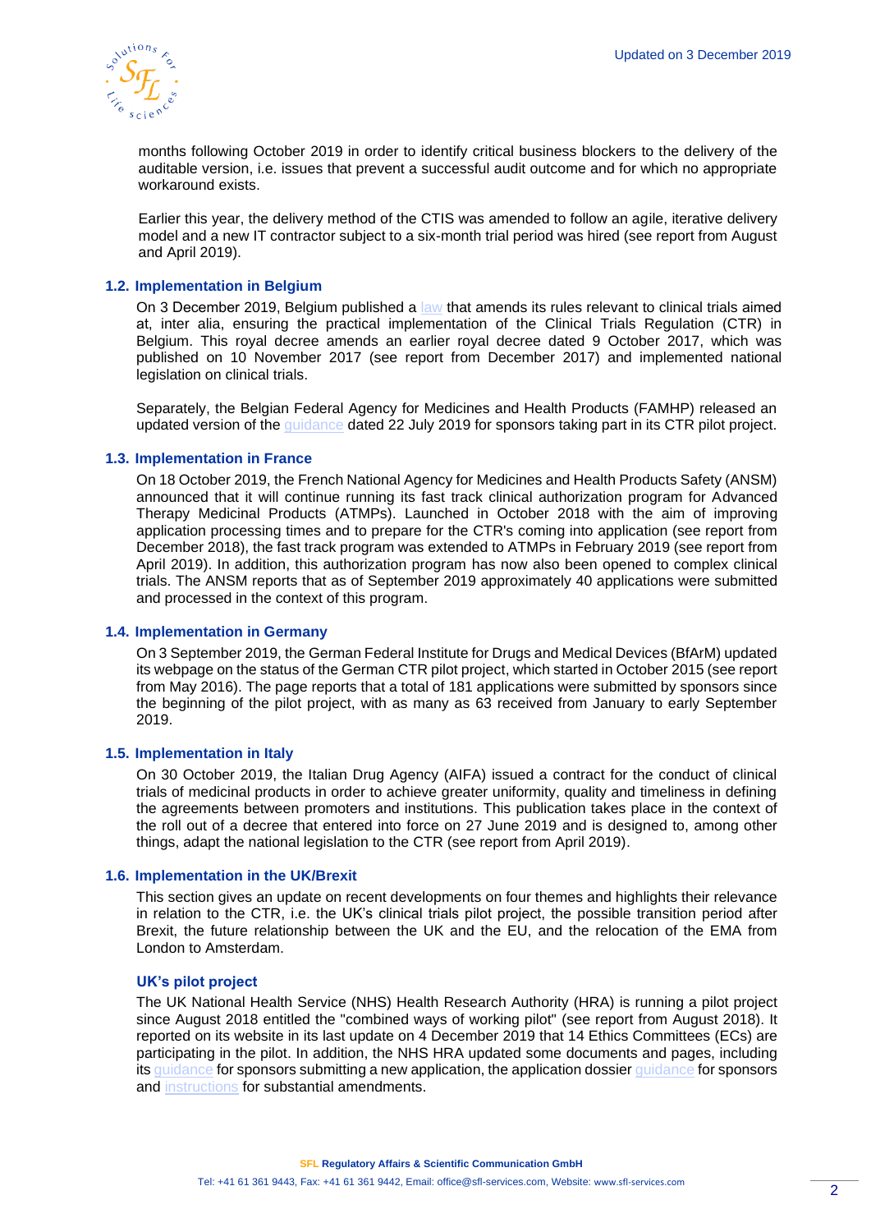

months following October 2019 in order to identify critical business blockers to the delivery of the auditable version, i.e. issues that prevent a successful audit outcome and for which no appropriate workaround exists.

Earlier this year, the delivery method of the CTIS was amended to follow an agile, iterative delivery model and a new IT contractor subject to a six-month trial period was hired (see report from August and April 2019).

# **1.2. Implementation in Belgium**

On 3 December 2019, Belgium published a [law t](http://www.ejustice.just.fgov.be/eli/arrete/2019/11/03/2019042404/moniteur)hat amends its rules relevant to clinical trials aimed at, inter alia, ensuring the practical implementation of the Clinical Trials Regulation (CTR) in Belgium. This royal decree amends an earlier royal decree dated 9 October 2017, which was published on 10 November 2017 (see report from December 2017) and implemented national legislation on clinical trials.

Separately, the Belgian Federal Agency for Medicines and Health Products (FAMHP) released an updated version of the [guidance](https://www.afmps.be/sites/default/files/content/ctr_pilot_project_guidance_for_sponsors_v_7.0_22-07-2019_0.pdf) dated 22 July 2019 for sponsors taking part in its CTR pilot project.

# **1.3. Implementation in France**

On 18 October 2019, the French National Agency for Medicines and Health Products Safety (ANSM) announced that it will continue running its fast track clinical authorization program for Advanced Therapy Medicinal Products (ATMPs). Launched in October 2018 with the aim of improving application processing times and to prepare for the CTR's coming into application (see report from December 2018), the fast track program was extended to ATMPs in February 2019 (see report from April 2019). In addition, this authorization program has now also been opened to complex clinical trials. The ANSM reports that as of September 2019 approximately 40 applications were submitted and processed in the context of this program.

# **1.4. Implementation in Germany**

On 3 September 2019, the German Federal Institute for Drugs and Medical Devices (BfArM) updated its webpage on the status of the German CTR pilot project, which started in October 2015 (see report from May 2016). The page reports that a total of 181 applications were submitted by sponsors since the beginning of the pilot project, with as many as 63 received from January to early September 2019.

#### **1.5. Implementation in Italy**

On 30 October 2019, the Italian Drug Agency (AIFA) issued a contract for the conduct of clinical trials of medicinal products in order to achieve greater uniformity, quality and timeliness in defining the agreements between promoters and institutions. This publication takes place in the context of the roll out of a decree that entered into force on 27 June 2019 and is designed to, among other things, adapt the national legislation to the CTR (see report from April 2019).

#### **1.6. Implementation in the UK/Brexit**

This section gives an update on recent developments on four themes and highlights their relevance in relation to the CTR, i.e. the UK's clinical trials pilot project, the possible transition period after Brexit, the future relationship between the UK and the EU, and the relocation of the EMA from London to Amsterdam.

#### **UK's pilot project**

The UK National Health Service (NHS) Health Research Authority (HRA) is running a pilot project since August 2018 entitled the "combined ways of working pilot" (see report from August 2018). It reported on its website in its last update on 4 December 2019 that 14 Ethics Committees (ECs) are participating in the pilot. In addition, the NHS HRA updated some documents and pages, including its [guidance](https://www.hra.nhs.uk/planning-and-improving-research/policies-standards-legislation/clinical-trials-investigational-medicinal-products-ctimps/combined-ways-working-pilot/instructions-sponsors-submitting-new-application/) for sponsors submitting a new application, the application dossie[r guidance](https://www.hra.nhs.uk/planning-and-improving-research/policies-standards-legislation/clinical-trials-investigational-medicinal-products-ctimps/combined-ways-working-pilot/application-dossier-guidance/) for sponsors and [instructions](https://www.hra.nhs.uk/planning-and-improving-research/policies-standards-legislation/clinical-trials-investigational-medicinal-products-ctimps/combined-ways-working-pilot/instructions-sponsors-substantial-amendments/) for substantial amendments.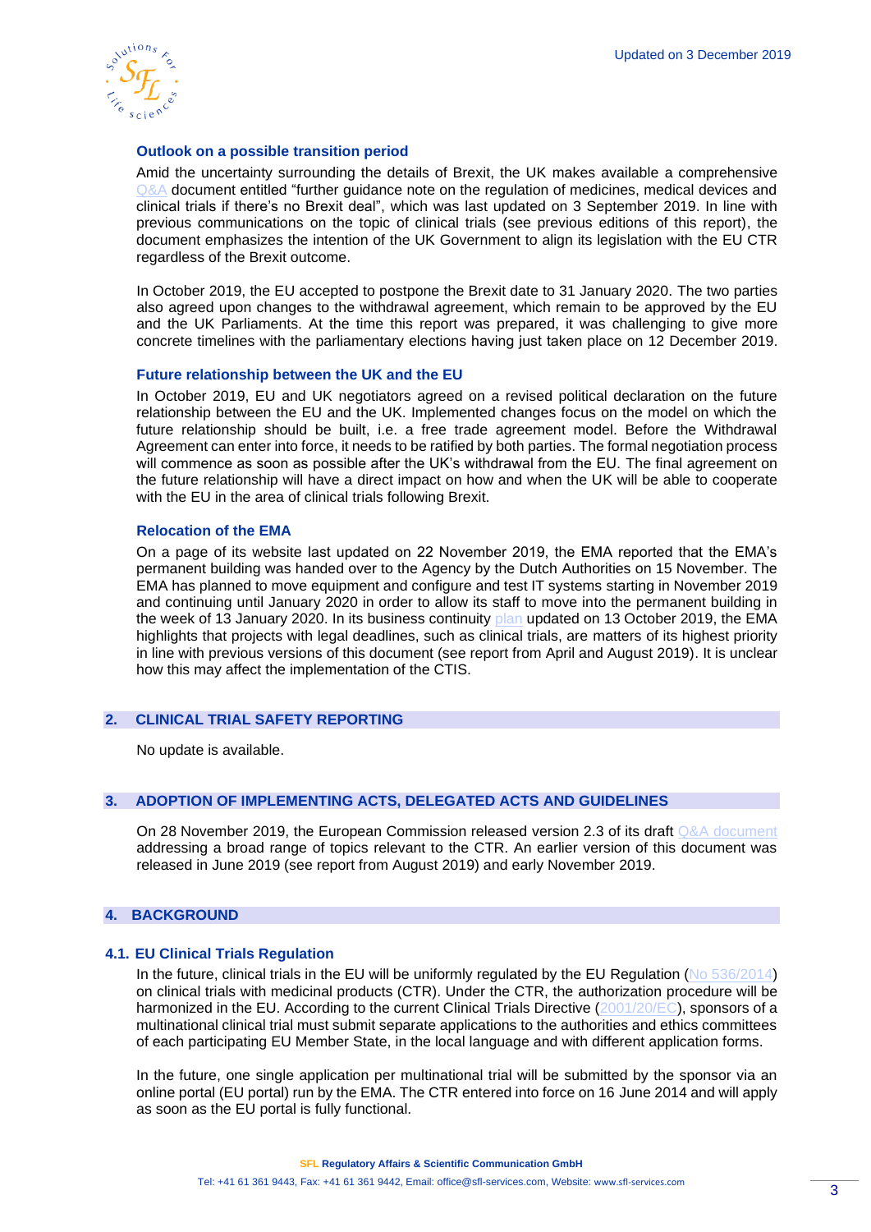

# **Outlook on a possible transition period**

Amid the uncertainty surrounding the details of Brexit, the UK makes available a comprehensive [Q&A](https://www.gov.uk/government/publications/further-guidance-note-on-the-regulation-of-medicines-medical-devices-and-clinical-trials-if-theres-no-brexit-deal/further-guidance-note-on-the-regulation-of-medicines-medical-devices-and-clinical-trials-if-theres-no-brexit-deal) document entitled "further guidance note on the regulation of medicines, medical devices and clinical trials if there's no Brexit deal", which was last updated on 3 September 2019. In line with previous communications on the topic of clinical trials (see previous editions of this report), the document emphasizes the intention of the UK Government to align its legislation with the EU CTR regardless of the Brexit outcome.

In October 2019, the EU accepted to postpone the Brexit date to 31 January 2020. The two parties also agreed upon changes to the withdrawal agreement, which remain to be approved by the EU and the UK Parliaments. At the time this report was prepared, it was challenging to give more concrete timelines with the parliamentary elections having just taken place on 12 December 2019.

# **Future relationship between the UK and the EU**

In October 2019, EU and UK negotiators agreed on a revised political declaration on the future relationship between the EU and the UK. Implemented changes focus on the model on which the future relationship should be built, i.e. a free trade agreement model. Before the Withdrawal Agreement can enter into force, it needs to be ratified by both parties. The formal negotiation process will commence as soon as possible after the UK's withdrawal from the EU. The final agreement on the future relationship will have a direct impact on how and when the UK will be able to cooperate with the EU in the area of clinical trials following Brexit.

# **Relocation of the EMA**

On a page of its website last updated on 22 November 2019, the EMA reported that the EMA's permanent building was handed over to the Agency by the Dutch Authorities on 15 November. The EMA has planned to move equipment and configure and test IT systems starting in November 2019 and continuing until January 2020 in order to allow its staff to move into the permanent building in the week of 13 January 2020. In its business continuity [plan](https://www.ema.europa.eu/en/documents/other/european-medicines-agency-brexit-preparedness-business-continuity-plan_en.pdf) updated on 13 October 2019, the EMA highlights that projects with legal deadlines, such as clinical trials, are matters of its highest priority in line with previous versions of this document (see report from April and August 2019). It is unclear how this may affect the implementation of the CTIS.

# **2. CLINICAL TRIAL SAFETY REPORTING**

No update is available.

# **3. ADOPTION OF IMPLEMENTING ACTS, DELEGATED ACTS AND GUIDELINES**

On 28 November 2019, the European Commission released version 2.3 of its draft [Q&A document](https://ec.europa.eu/health/sites/health/files/files/eudralex/vol-10/regulation5362014_qa_en.pdf) addressing a broad range of topics relevant to the CTR. An earlier version of this document was released in June 2019 (see report from August 2019) and early November 2019.

# **4. BACKGROUND**

# **4.1. EU Clinical Trials Regulation**

In the future, clinical trials in the EU will be uniformly regulated by the EU Regulation [\(No 536/2014\)](http://eur-lex.europa.eu/legal-content/EN/TXT/PDF/?uri=CELEX:32014R0536&from=EN) on clinical trials with medicinal products (CTR). Under the CTR, the authorization procedure will be harmonized in the EU. According to the current Clinical Trials Directive [\(2001/20/EC\)](http://eur-lex.europa.eu/legal-content/EN/TXT/?qid=1498489090986&uri=CELEX:32001L0020), sponsors of a multinational clinical trial must submit separate applications to the authorities and ethics committees of each participating EU Member State, in the local language and with different application forms.

In the future, one single application per multinational trial will be submitted by the sponsor via an online portal (EU portal) run by the EMA. The CTR entered into force on 16 June 2014 and will apply as soon as the EU portal is fully functional.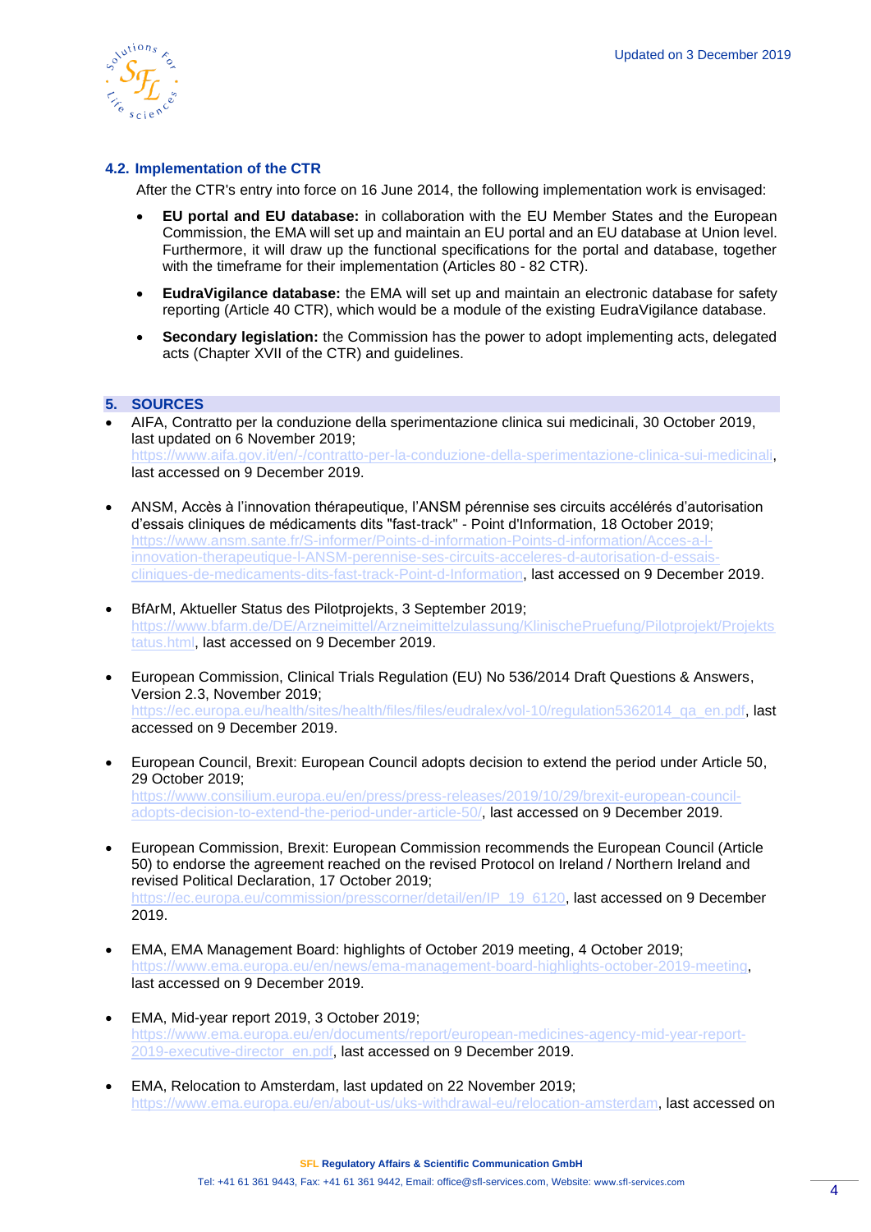

# **4.2. Implementation of the CTR**

After the CTR's entry into force on 16 June 2014, the following implementation work is envisaged:

- **EU portal and EU database:** in collaboration with the EU Member States and the European Commission, the EMA will set up and maintain an EU portal and an EU database at Union level. Furthermore, it will draw up the functional specifications for the portal and database, together with the timeframe for their implementation (Articles 80 - 82 CTR).
- **EudraVigilance database:** the EMA will set up and maintain an electronic database for safety reporting (Article 40 CTR), which would be a module of the existing EudraVigilance database.
- **Secondary legislation:** the Commission has the power to adopt implementing acts, delegated acts (Chapter XVII of the CTR) and guidelines.

# **5. SOURCES**

- AIFA, Contratto per la conduzione della sperimentazione clinica sui medicinali, 30 October 2019, last updated on 6 November 2019; [https://www.aifa.gov.it/en/-/contratto-per-la-conduzione-della-sperimentazione-clinica-sui-medicinali,](https://www.aifa.gov.it/en/-/contratto-per-la-conduzione-della-sperimentazione-clinica-sui-medicinali) last accessed on 9 December 2019.
- ANSM, Accès à l'innovation thérapeutique, l'ANSM pérennise ses circuits accélérés d'autorisation d'essais cliniques de médicaments dits "fast-track" - Point d'Information, 18 October 2019; [https://www.ansm.sante.fr/S-informer/Points-d-information-Points-d-information/Acces-a-l](https://www.ansm.sante.fr/S-informer/Points-d-information-Points-d-information/Acces-a-l-innovation-therapeutique-l-ANSM-perennise-ses-circuits-acceleres-d-autorisation-d-essais-cliniques-de-medicaments-dits-fast-track-Point-d-Information)[innovation-therapeutique-l-ANSM-perennise-ses-circuits-acceleres-d-autorisation-d-essais](https://www.ansm.sante.fr/S-informer/Points-d-information-Points-d-information/Acces-a-l-innovation-therapeutique-l-ANSM-perennise-ses-circuits-acceleres-d-autorisation-d-essais-cliniques-de-medicaments-dits-fast-track-Point-d-Information)[cliniques-de-medicaments-dits-fast-track-Point-d-Information,](https://www.ansm.sante.fr/S-informer/Points-d-information-Points-d-information/Acces-a-l-innovation-therapeutique-l-ANSM-perennise-ses-circuits-acceleres-d-autorisation-d-essais-cliniques-de-medicaments-dits-fast-track-Point-d-Information) last accessed on 9 December 2019.
- BfArM, Aktueller Status des Pilotprojekts, 3 September 2019; [https://www.bfarm.de/DE/Arzneimittel/Arzneimittelzulassung/KlinischePruefung/Pilotprojekt/Projekts](https://www.bfarm.de/DE/Arzneimittel/Arzneimittelzulassung/KlinischePruefung/Pilotprojekt/Projektstatus.html) [tatus.html,](https://www.bfarm.de/DE/Arzneimittel/Arzneimittelzulassung/KlinischePruefung/Pilotprojekt/Projektstatus.html) last accessed on 9 December 2019.
- European Commission, Clinical Trials Regulation (EU) No 536/2014 Draft Questions & Answers, Version 2.3, November 2019; [https://ec.europa.eu/health/sites/health/files/files/eudralex/vol-10/regulation5362014\\_qa\\_en.pdf,](https://ec.europa.eu/health/sites/health/files/files/eudralex/vol-10/regulation5362014_qa_en.pdf) last accessed on 9 December 2019.
- European Council, Brexit: European Council adopts decision to extend the period under Article 50, 29 October 2019; [https://www.consilium.europa.eu/en/press/press-releases/2019/10/29/brexit-european-council](https://www.consilium.europa.eu/en/press/press-releases/2019/10/29/brexit-european-council-adopts-decision-to-extend-the-period-under-article-50/)[adopts-decision-to-extend-the-period-under-article-50/,](https://www.consilium.europa.eu/en/press/press-releases/2019/10/29/brexit-european-council-adopts-decision-to-extend-the-period-under-article-50/) last accessed on 9 December 2019.
- European Commission, Brexit: European Commission recommends the European Council (Article 50) to endorse the agreement reached on the revised Protocol on Ireland / Northern Ireland and revised Political Declaration, 17 October 2019; [https://ec.europa.eu/commission/presscorner/detail/en/IP\\_19\\_6120,](https://ec.europa.eu/commission/presscorner/detail/en/IP_19_6120) last accessed on 9 December 2019.
- EMA, EMA Management Board: highlights of October 2019 meeting, 4 October 2019; [https://www.ema.europa.eu/en/news/ema-management-board-highlights-october-2019-meeting,](https://www.ema.europa.eu/en/news/ema-management-board-highlights-october-2019-meeting) last accessed on 9 December 2019.
- EMA, Mid-year report 2019, 3 October 2019; [https://www.ema.europa.eu/en/documents/report/european-medicines-agency-mid-year-report-](https://www.ema.europa.eu/en/documents/report/european-medicines-agency-mid-year-report-2019-executive-director_en.pdf)[2019-executive-director\\_en.pdf,](https://www.ema.europa.eu/en/documents/report/european-medicines-agency-mid-year-report-2019-executive-director_en.pdf) last accessed on 9 December 2019.
- EMA, Relocation to Amsterdam, last updated on 22 November 2019; [https://www.ema.europa.eu/en/about-us/uks-withdrawal-eu/relocation-amsterdam,](https://www.ema.europa.eu/en/about-us/uks-withdrawal-eu/relocation-amsterdam) last accessed on